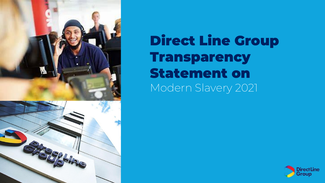

Direct Line Group **Transparency** Statement on Modern Slavery 2021

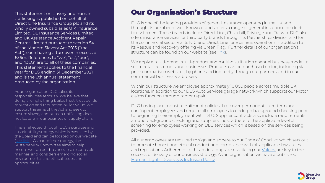This statement on slavery and human trafficking is published on behalf of Direct Line Insurance Group plc and its wholly owned subsidiaries U K Insurance Limited, DL Insurance Services Limited and UK Assistance Accident Repair Centres Limited pursuant to section 54 of the Modern Slavery Act 2015 ("the Act"), each having a turnover in excess of £36m. References to "we", "us", "our", and "DLG" are to all of these companies. This statement applies to the financial year for DLG ending 31 December 2021 and is the 6th annual statement produced by the organisation.

As an organisation DLG takes its responsibilities seriously. We believe that doing the right thing builds trust, trust builds reputation and reputation builds value. We support the aims of the Act and seek to ensure slavery and human trafficking does not feature in our business or supply chain.

This is reflected through DLG's purpose and sustainability strategy which is overseen by the Board and can be located on our website ([see link\)](https://www.directlinegroup.co.uk/en/sustainability.html). As part of the strategy, the Sustainability Committee aims to help ensure we run our business in a responsible manner, and considers emerging social, environmental and ethical issues and opportunities.

## Our Organisation's Structure

DLG is one of the leading providers of general insurance operating in the UK and through its number of well-known brands offers a range of general insurance products to customers. These brands include: Direct Line, Churchill, Privilege and Darwin. DLG also offers insurance services for third party brands through its Partnerships division and for the commercial sector via its NIG and Direct Line for Business operations in addition to its Rescue and Recovery offering via Green Flag. Further details of our organisation's structure can be found on our website (see [link\)](https://www.directlinegroup.co.uk/en/who-we-are/group-profile.html).

We apply a multi-brand, multi-product and multi-distribution channel business model to sell to retail customers and businesses. Products can be purchased online, including via price comparison websites, by phone and indirectly through our partners, and in our commercial business, via brokers.

Within our structure we employee approximately 10,000 people across multiple UK locations, in addition to our DLG Auto Services garage network which supports our Motor claims function through motor repair.

DLG has in place robust recruitment policies that cover permanent, fixed term and contingent employees and require all employees to undergo background checking prior to beginning their employment with DLG. Supplier contracts also include requirements around background checking and suppliers must adhere to the applicable level of screening for employees working on DLG services which is based on the services being provided.

All our employees are required to sign and adhere to our Code of Conduct which sets out to promote honest and ethical conduct and compliance with all applicable laws, rules and regulations. Adherence to this code, alongside practicing our [Values](https://www.directlinegroup.co.uk/en/who-we-are/values.html), are key to the successful delivery of our business strategy. As an organisation we have a published [Human Rights, Diversity & Inclusion Policy](https://www.directlinegroup.co.uk/en/sustainability/reports-policies-and-statements.html)

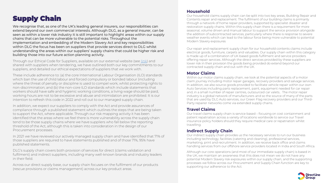# Supply Chain

We recognise that, as one of the UK's leading general insurers, our responsibilities can extend beyond our own commercial interests. Although DLG, as a general insurer, can be seen as within a lower risk industry it is still important to highlight areas within our supply chains that can be more vulnerable to the potential risks. Throughout the implementation and embedding of the Modern Slavery Act and key responsibilities within DLG the focus has been on suppliers that provide services direct to DLG whilst understanding the areas within our suppliers' supply chains that could be higher risk and building those into our future action planning activity.

Through our Ethical Code for Suppliers, available on our external website (see [link\)](https://www.directlinegroup.co.uk/en/sustainability/reports-policies-and-statements.html) and shared with suppliers when tendering, we have outlined both our key commitments to our suppliers, and detailed our ethical expectations of suppliers that we work with.

These include adherence to: (a) the core International Labour Organisation (ILO) standards which ban the use of child labour and forced compulsory or bonded labour (including where the threat of penalty or discipline is used to compel work, whilst protecting rights to non-discrimination; and (b) the non-core ILO standards which include statements that workers should have safe and hygienic working conditions, a living wage should be paid, working hours are not to be excessive and abuse and intimidation are prohibited. It is our intention to refresh this code in 2022 and roll out to our managed supply chain.

In addition, we expect our suppliers to comply with the Act and provide assurances of compliance through a published statement which outlines the steps that are being taken to support the Act, where applicable. Through our risk mapping activity it has been identified that the areas where we feel there is more vulnerability across the supply chain tend to be those supply chains where we have suppliers who fall below the reporting threshold of the Act, although this is taken into consideration in the design of our Procurement processes.

In 2021 we have reviewed our actively managed supply chain and have identified that 71% of those suppliers are required to have statements published and of those 71%, 95% have published statements.

DLG's supply chain covers both provision of services for direct (claims validation and fulfilment) and indirect suppliers, including many well-known brands and industry leaders in their field.

Across our direct supply base, our supply chain focuses on the fulfilment of our products (rescue provisions or claims management) across our key product areas.

#### **Household**

Our household claims supply chain can be split into two key areas, Building Repair and Contents repair and replacement. The fulfilment of our building claims is primarily through a network of home repair providers, supported by specialist disaster and restoration supply chains. Within this supply chain there is a requirement for more seasonal, volume driven and manual labour to support the service provision alongside the addition of subcontracted services, particularly where there is response to severe weather events which can lead to the labour force being more vulnerable to potential Modern Slavery exposures

Our repair and replacement supply chain for our household contents claims include electrical goods, furniture, carpets and valuables. Our supply chain within this category is made up of a combination of UK based goods fulfilment and service providers offering repair services. Although the direct services provided by these suppliers are lower risk in their provision the goods being provided do extend beyond our contracted supply chain and out-with the UK.

#### **Motor Claims**

Within our motor claims supply chain, we look at the potential aspects of a motor claim journey including motor repair garages, recovery providers and salvage services. In addition, we also source goods provided to facilitate vehicle repair within our own Auto Services including parts replacement, paint, equipment needed for car repair and, in a small number of repair centres, outsourced car valets.. The motor repair industry is a global network of manufacturers and so the source of many of the parts that are used by DLG Auto services, our Green Flag recovery providers and our Third-Party repairer networks come via extended supply chains.

#### **Travel Claims**

Our travel claims supply chain is service based – focusing on cost containment and patient repatriation across a variety of locations worldwide to service our Travel insurance policy holders should they require medical care or repatriation whilst travelling.

#### **Indirect Supply Chain**

Our indirect supply chain provides us the necessary services to run our business including technology, facilities (catering and cleaning), professional services, marketing, print and recruitment. In addition, we receive back office and claims handling services from our offshore service providers located in India and South Africa.

Although our core operations (and most of our immediate supply chain) is based in the UK, we maintain an awareness that this does not mean we do not have any potential Modern Slavery risk exposures within our supply chain, and the supporting processes we follow across our Procurement and Supply Chain function are key to supporting our adherence to the Act.

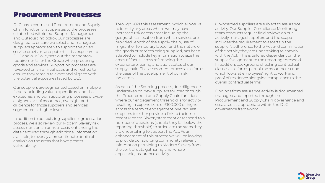### Procurement Processes

DLG has a centralised Procurement and Supply Chain function that operates to the processes established within our Supplier Management and Outsourcing policy. Our processes are designed to ensure we select and manage our suppliers appropriately to support the given service provision and potential risk exposure to DLG and our Policy sets out the mandatory requirements for the Group when procuring goods and services. Supporting processes are reviewed on an annual basis and refreshed to ensure they remain relevant and aligned with the potential exposures faced by DLG

Our suppliers are segmented based on multiple factors including value, expenditure and risk exposures, and our supporting processes provide a higher level of assurance, oversight and diligence for those suppliers and services segmented at higher levels.

In addition to our existing supplier segmentation process, we also review our Modern Slavery risk assessment on an annual basis, enhancing the data captured through additional information available, to overlay a proportionate depth of analysis on the areas that have greater vulnerability.

Through 2021 this assessment , which allows us to identify any areas where we may have increased risk across areas including the geographical location from which services are provided, length of the supply chain, use of migrant or temporary labour and the nature of the goods or services being supplied, has been adapted to include key information to size the areas of focus - cross referencing the expenditure, tiering and audit status of our supply chain. This assessment process also forms the basis of the development of our risk indicators.

As part of the Sourcing process, due diligence is undertaken on new suppliers sourced through the Procurement and Supply Chain function where our engagement threshold is for activity resulting in expenditure of £100,000 or higher across the term of engagement. We request suppliers to either provide a link to their most recent Modern Slavery statement or respond to a number of questions (should they fall below the reporting threshold) to articulate the steps they are undertaking to support the Act. As an enhancement of this process we will be looking to provide our sourcing community relevant information pertaining to Modern Slavery from the central data gathering and, where applicable, assurance activity.

On-boarded suppliers are subject to assurance activity. Our Supplier Compliance Monitoring team conducts regular field reviews on our actively managed suppliers and the scope includes the requirement to ascertain the supplier's adherence to the Act and confirmation of the activity they are undertaking to comply with the Act. This is tailored dependant on the supplier's alignment to the reporting threshold. In addition, background checking contractual clauses also forms part of the assurance scope which looks at employees' right to work and proof of residence alongside compliance to the overall contractual terms.

Findings from assurance activity is documented, managed and reported through the Procurement and Supply Chain governance and escalated as appropriate within the DLG governance framework.

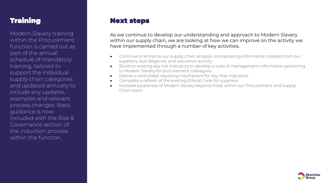# Training

Modern Slavery training within the Procurement function is carried out as part of the annual schedule of mandatory training, tailored to support the individual supply chain categories and updated annually to include any updates, examples and relevant process changes. Basic guidance is now included with the Risk & Governance section of the induction process within the function.

# Next steps

As we continue to develop our understanding and approach to Modern Slavery within our supply chain, we are looking at how we can improve on the activity we have implemented through a number of key activities.

- Continue to enhance our supply chain analysis, incorporating information collated from our suppliers, due diligence, and assurance activity
- Build on existing key risk indicators to develop a suite of management information pertaining to Modern Slavery for procurement colleagues
- Define a centralised reporting mechanism for Key Risk indicators
- Complete a refresh of the existing Ethical Code for suppliers
	- Increase awareness of Modern Slavery beyond those within our Procurement and Supply Chain team